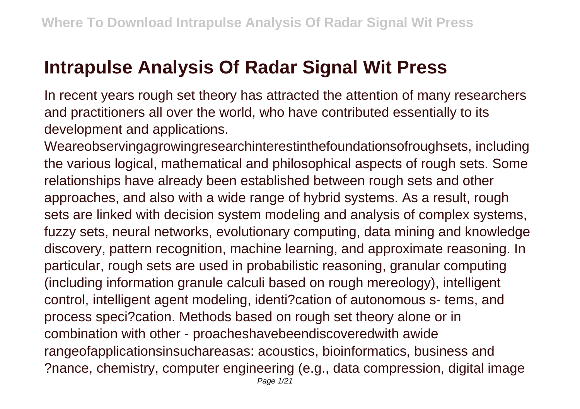## **Intrapulse Analysis Of Radar Signal Wit Press**

In recent years rough set theory has attracted the attention of many researchers and practitioners all over the world, who have contributed essentially to its development and applications.

Weareobservingagrowingresearchinterestinthefoundationsofroughsets, including the various logical, mathematical and philosophical aspects of rough sets. Some relationships have already been established between rough sets and other approaches, and also with a wide range of hybrid systems. As a result, rough sets are linked with decision system modeling and analysis of complex systems, fuzzy sets, neural networks, evolutionary computing, data mining and knowledge discovery, pattern recognition, machine learning, and approximate reasoning. In particular, rough sets are used in probabilistic reasoning, granular computing (including information granule calculi based on rough mereology), intelligent control, intelligent agent modeling, identi?cation of autonomous s- tems, and process speci?cation. Methods based on rough set theory alone or in combination with other - proacheshavebeendiscoveredwith awide rangeofapplicationsinsuchareasas: acoustics, bioinformatics, business and ?nance, chemistry, computer engineering (e.g., data compression, digital image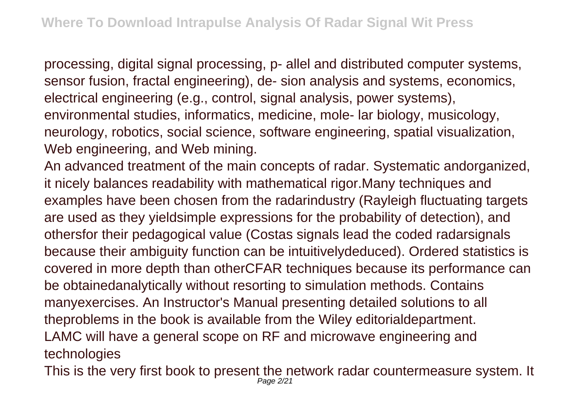processing, digital signal processing, p- allel and distributed computer systems, sensor fusion, fractal engineering), de- sion analysis and systems, economics, electrical engineering (e.g., control, signal analysis, power systems), environmental studies, informatics, medicine, mole- lar biology, musicology, neurology, robotics, social science, software engineering, spatial visualization, Web engineering, and Web mining.

An advanced treatment of the main concepts of radar. Systematic andorganized, it nicely balances readability with mathematical rigor.Many techniques and examples have been chosen from the radarindustry (Rayleigh fluctuating targets are used as they yieldsimple expressions for the probability of detection), and othersfor their pedagogical value (Costas signals lead the coded radarsignals because their ambiguity function can be intuitivelydeduced). Ordered statistics is covered in more depth than otherCFAR techniques because its performance can be obtainedanalytically without resorting to simulation methods. Contains manyexercises. An Instructor's Manual presenting detailed solutions to all theproblems in the book is available from the Wiley editorialdepartment. LAMC will have a general scope on RF and microwave engineering and technologies

This is the very first book to present the network radar countermeasure system. It Page 2/21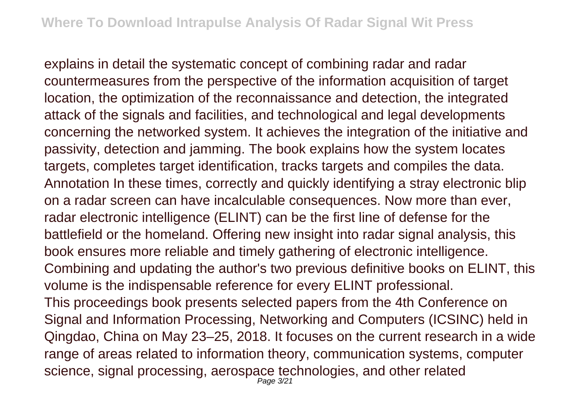explains in detail the systematic concept of combining radar and radar countermeasures from the perspective of the information acquisition of target location, the optimization of the reconnaissance and detection, the integrated attack of the signals and facilities, and technological and legal developments concerning the networked system. It achieves the integration of the initiative and passivity, detection and jamming. The book explains how the system locates targets, completes target identification, tracks targets and compiles the data. Annotation In these times, correctly and quickly identifying a stray electronic blip on a radar screen can have incalculable consequences. Now more than ever, radar electronic intelligence (ELINT) can be the first line of defense for the battlefield or the homeland. Offering new insight into radar signal analysis, this book ensures more reliable and timely gathering of electronic intelligence. Combining and updating the author's two previous definitive books on ELINT, this volume is the indispensable reference for every ELINT professional. This proceedings book presents selected papers from the 4th Conference on Signal and Information Processing, Networking and Computers (ICSINC) held in Qingdao, China on May 23–25, 2018. It focuses on the current research in a wide range of areas related to information theory, communication systems, computer science, signal processing, aerospace technologies, and other related Page 3/21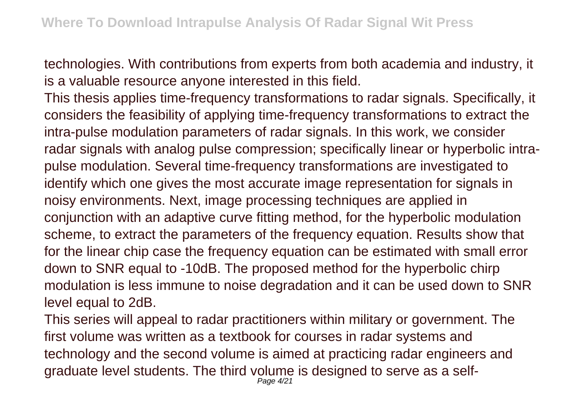technologies. With contributions from experts from both academia and industry, it is a valuable resource anyone interested in this field.

This thesis applies time-frequency transformations to radar signals. Specifically, it considers the feasibility of applying time-frequency transformations to extract the intra-pulse modulation parameters of radar signals. In this work, we consider radar signals with analog pulse compression; specifically linear or hyperbolic intrapulse modulation. Several time-frequency transformations are investigated to identify which one gives the most accurate image representation for signals in noisy environments. Next, image processing techniques are applied in conjunction with an adaptive curve fitting method, for the hyperbolic modulation scheme, to extract the parameters of the frequency equation. Results show that for the linear chip case the frequency equation can be estimated with small error down to SNR equal to -10dB. The proposed method for the hyperbolic chirp modulation is less immune to noise degradation and it can be used down to SNR level equal to 2dB.

This series will appeal to radar practitioners within military or government. The first volume was written as a textbook for courses in radar systems and technology and the second volume is aimed at practicing radar engineers and graduate level students. The third volume is designed to serve as a self-Page 4/21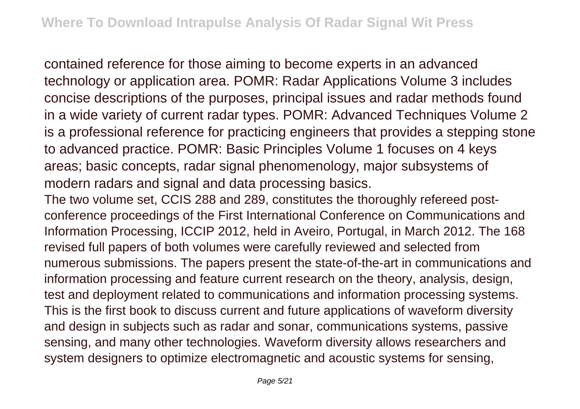contained reference for those aiming to become experts in an advanced technology or application area. POMR: Radar Applications Volume 3 includes concise descriptions of the purposes, principal issues and radar methods found in a wide variety of current radar types. POMR: Advanced Techniques Volume 2 is a professional reference for practicing engineers that provides a stepping stone to advanced practice. POMR: Basic Principles Volume 1 focuses on 4 keys areas; basic concepts, radar signal phenomenology, major subsystems of modern radars and signal and data processing basics.

The two volume set, CCIS 288 and 289, constitutes the thoroughly refereed postconference proceedings of the First International Conference on Communications and Information Processing, ICCIP 2012, held in Aveiro, Portugal, in March 2012. The 168 revised full papers of both volumes were carefully reviewed and selected from numerous submissions. The papers present the state-of-the-art in communications and information processing and feature current research on the theory, analysis, design, test and deployment related to communications and information processing systems. This is the first book to discuss current and future applications of waveform diversity and design in subjects such as radar and sonar, communications systems, passive sensing, and many other technologies. Waveform diversity allows researchers and system designers to optimize electromagnetic and acoustic systems for sensing,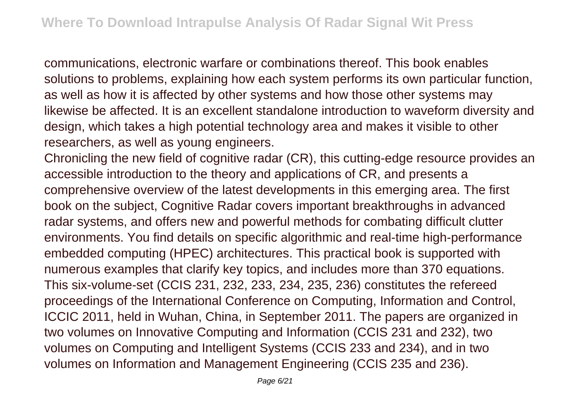communications, electronic warfare or combinations thereof. This book enables solutions to problems, explaining how each system performs its own particular function, as well as how it is affected by other systems and how those other systems may likewise be affected. It is an excellent standalone introduction to waveform diversity and design, which takes a high potential technology area and makes it visible to other researchers, as well as young engineers.

Chronicling the new field of cognitive radar (CR), this cutting-edge resource provides an accessible introduction to the theory and applications of CR, and presents a comprehensive overview of the latest developments in this emerging area. The first book on the subject, Cognitive Radar covers important breakthroughs in advanced radar systems, and offers new and powerful methods for combating difficult clutter environments. You find details on specific algorithmic and real-time high-performance embedded computing (HPEC) architectures. This practical book is supported with numerous examples that clarify key topics, and includes more than 370 equations. This six-volume-set (CCIS 231, 232, 233, 234, 235, 236) constitutes the refereed proceedings of the International Conference on Computing, Information and Control, ICCIC 2011, held in Wuhan, China, in September 2011. The papers are organized in two volumes on Innovative Computing and Information (CCIS 231 and 232), two volumes on Computing and Intelligent Systems (CCIS 233 and 234), and in two volumes on Information and Management Engineering (CCIS 235 and 236).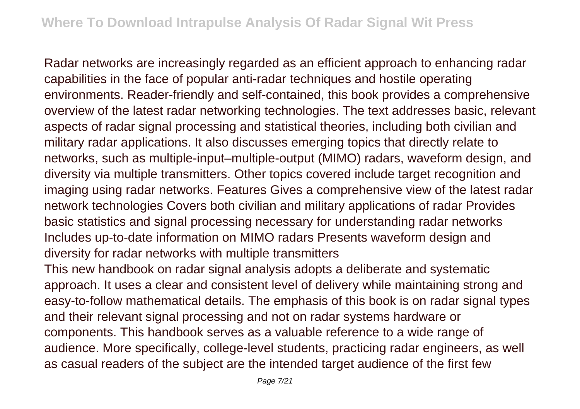Radar networks are increasingly regarded as an efficient approach to enhancing radar capabilities in the face of popular anti-radar techniques and hostile operating environments. Reader-friendly and self-contained, this book provides a comprehensive overview of the latest radar networking technologies. The text addresses basic, relevant aspects of radar signal processing and statistical theories, including both civilian and military radar applications. It also discusses emerging topics that directly relate to networks, such as multiple-input–multiple-output (MIMO) radars, waveform design, and diversity via multiple transmitters. Other topics covered include target recognition and imaging using radar networks. Features Gives a comprehensive view of the latest radar network technologies Covers both civilian and military applications of radar Provides basic statistics and signal processing necessary for understanding radar networks Includes up-to-date information on MIMO radars Presents waveform design and diversity for radar networks with multiple transmitters

This new handbook on radar signal analysis adopts a deliberate and systematic approach. It uses a clear and consistent level of delivery while maintaining strong and easy-to-follow mathematical details. The emphasis of this book is on radar signal types and their relevant signal processing and not on radar systems hardware or components. This handbook serves as a valuable reference to a wide range of audience. More specifically, college-level students, practicing radar engineers, as well as casual readers of the subject are the intended target audience of the first few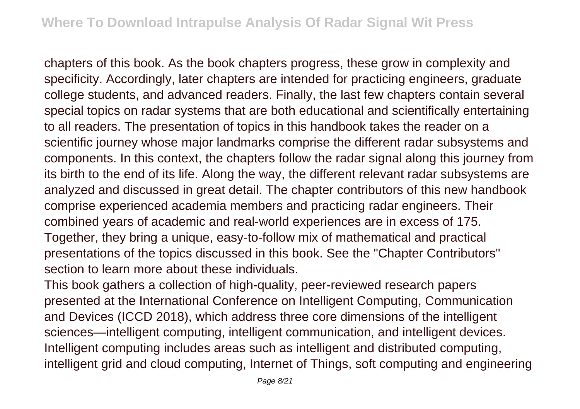chapters of this book. As the book chapters progress, these grow in complexity and specificity. Accordingly, later chapters are intended for practicing engineers, graduate college students, and advanced readers. Finally, the last few chapters contain several special topics on radar systems that are both educational and scientifically entertaining to all readers. The presentation of topics in this handbook takes the reader on a scientific journey whose major landmarks comprise the different radar subsystems and components. In this context, the chapters follow the radar signal along this journey from its birth to the end of its life. Along the way, the different relevant radar subsystems are analyzed and discussed in great detail. The chapter contributors of this new handbook comprise experienced academia members and practicing radar engineers. Their combined years of academic and real-world experiences are in excess of 175. Together, they bring a unique, easy-to-follow mix of mathematical and practical presentations of the topics discussed in this book. See the "Chapter Contributors" section to learn more about these individuals.

This book gathers a collection of high-quality, peer-reviewed research papers presented at the International Conference on Intelligent Computing, Communication and Devices (ICCD 2018), which address three core dimensions of the intelligent sciences—intelligent computing, intelligent communication, and intelligent devices. Intelligent computing includes areas such as intelligent and distributed computing, intelligent grid and cloud computing, Internet of Things, soft computing and engineering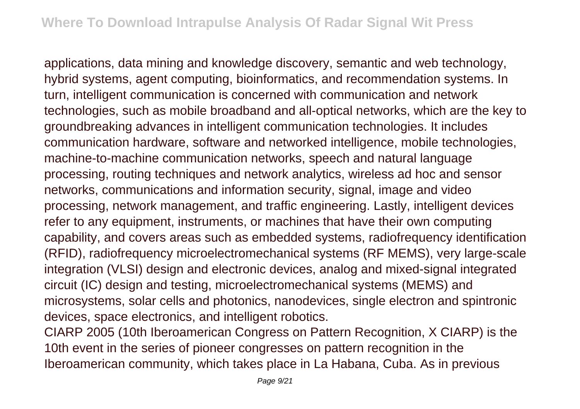applications, data mining and knowledge discovery, semantic and web technology, hybrid systems, agent computing, bioinformatics, and recommendation systems. In turn, intelligent communication is concerned with communication and network technologies, such as mobile broadband and all-optical networks, which are the key to groundbreaking advances in intelligent communication technologies. It includes communication hardware, software and networked intelligence, mobile technologies, machine-to-machine communication networks, speech and natural language processing, routing techniques and network analytics, wireless ad hoc and sensor networks, communications and information security, signal, image and video processing, network management, and traffic engineering. Lastly, intelligent devices refer to any equipment, instruments, or machines that have their own computing capability, and covers areas such as embedded systems, radiofrequency identification (RFID), radiofrequency microelectromechanical systems (RF MEMS), very large-scale integration (VLSI) design and electronic devices, analog and mixed-signal integrated circuit (IC) design and testing, microelectromechanical systems (MEMS) and microsystems, solar cells and photonics, nanodevices, single electron and spintronic devices, space electronics, and intelligent robotics.

CIARP 2005 (10th Iberoamerican Congress on Pattern Recognition, X CIARP) is the 10th event in the series of pioneer congresses on pattern recognition in the Iberoamerican community, which takes place in La Habana, Cuba. As in previous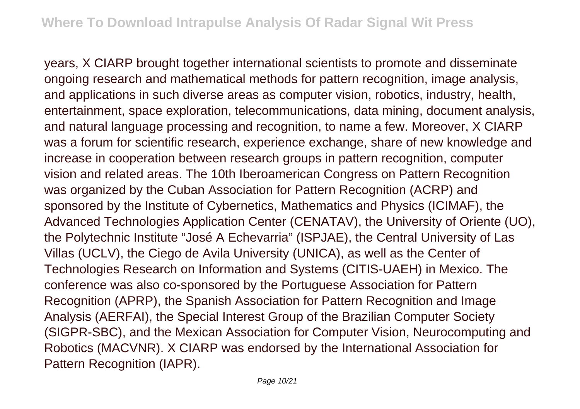years, X CIARP brought together international scientists to promote and disseminate ongoing research and mathematical methods for pattern recognition, image analysis, and applications in such diverse areas as computer vision, robotics, industry, health, entertainment, space exploration, telecommunications, data mining, document analysis, and natural language processing and recognition, to name a few. Moreover, X CIARP was a forum for scientific research, experience exchange, share of new knowledge and increase in cooperation between research groups in pattern recognition, computer vision and related areas. The 10th Iberoamerican Congress on Pattern Recognition was organized by the Cuban Association for Pattern Recognition (ACRP) and sponsored by the Institute of Cybernetics, Mathematics and Physics (ICIMAF), the Advanced Technologies Application Center (CENATAV), the University of Oriente (UO), the Polytechnic Institute "José A Echevarria" (ISPJAE), the Central University of Las Villas (UCLV), the Ciego de Avila University (UNICA), as well as the Center of Technologies Research on Information and Systems (CITIS-UAEH) in Mexico. The conference was also co-sponsored by the Portuguese Association for Pattern Recognition (APRP), the Spanish Association for Pattern Recognition and Image Analysis (AERFAI), the Special Interest Group of the Brazilian Computer Society (SIGPR-SBC), and the Mexican Association for Computer Vision, Neurocomputing and Robotics (MACVNR). X CIARP was endorsed by the International Association for Pattern Recognition (IAPR).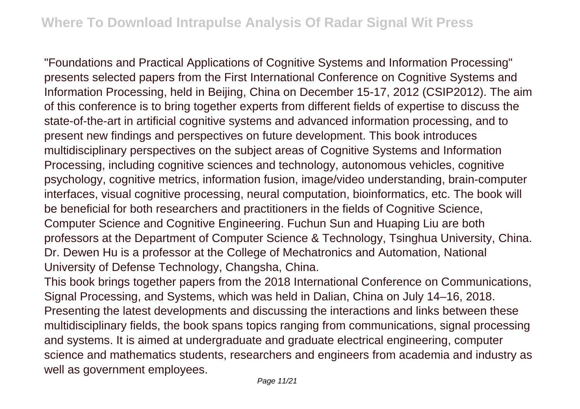"Foundations and Practical Applications of Cognitive Systems and Information Processing" presents selected papers from the First International Conference on Cognitive Systems and Information Processing, held in Beijing, China on December 15-17, 2012 (CSIP2012). The aim of this conference is to bring together experts from different fields of expertise to discuss the state-of-the-art in artificial cognitive systems and advanced information processing, and to present new findings and perspectives on future development. This book introduces multidisciplinary perspectives on the subject areas of Cognitive Systems and Information Processing, including cognitive sciences and technology, autonomous vehicles, cognitive psychology, cognitive metrics, information fusion, image/video understanding, brain-computer interfaces, visual cognitive processing, neural computation, bioinformatics, etc. The book will be beneficial for both researchers and practitioners in the fields of Cognitive Science, Computer Science and Cognitive Engineering. Fuchun Sun and Huaping Liu are both professors at the Department of Computer Science & Technology, Tsinghua University, China. Dr. Dewen Hu is a professor at the College of Mechatronics and Automation, National University of Defense Technology, Changsha, China.

This book brings together papers from the 2018 International Conference on Communications, Signal Processing, and Systems, which was held in Dalian, China on July 14–16, 2018. Presenting the latest developments and discussing the interactions and links between these multidisciplinary fields, the book spans topics ranging from communications, signal processing and systems. It is aimed at undergraduate and graduate electrical engineering, computer science and mathematics students, researchers and engineers from academia and industry as well as government employees.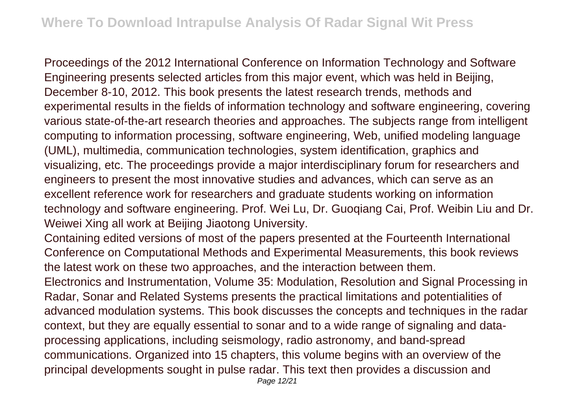Proceedings of the 2012 International Conference on Information Technology and Software Engineering presents selected articles from this major event, which was held in Beijing, December 8-10, 2012. This book presents the latest research trends, methods and experimental results in the fields of information technology and software engineering, covering various state-of-the-art research theories and approaches. The subjects range from intelligent computing to information processing, software engineering, Web, unified modeling language (UML), multimedia, communication technologies, system identification, graphics and visualizing, etc. The proceedings provide a major interdisciplinary forum for researchers and engineers to present the most innovative studies and advances, which can serve as an excellent reference work for researchers and graduate students working on information technology and software engineering. Prof. Wei Lu, Dr. Guoqiang Cai, Prof. Weibin Liu and Dr. Weiwei Xing all work at Beijing Jiaotong University.

Containing edited versions of most of the papers presented at the Fourteenth International Conference on Computational Methods and Experimental Measurements, this book reviews the latest work on these two approaches, and the interaction between them.

Electronics and Instrumentation, Volume 35: Modulation, Resolution and Signal Processing in Radar, Sonar and Related Systems presents the practical limitations and potentialities of advanced modulation systems. This book discusses the concepts and techniques in the radar context, but they are equally essential to sonar and to a wide range of signaling and dataprocessing applications, including seismology, radio astronomy, and band-spread communications. Organized into 15 chapters, this volume begins with an overview of the principal developments sought in pulse radar. This text then provides a discussion and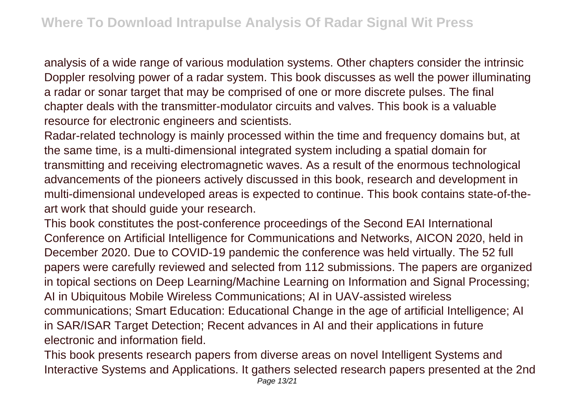analysis of a wide range of various modulation systems. Other chapters consider the intrinsic Doppler resolving power of a radar system. This book discusses as well the power illuminating a radar or sonar target that may be comprised of one or more discrete pulses. The final chapter deals with the transmitter-modulator circuits and valves. This book is a valuable resource for electronic engineers and scientists.

Radar-related technology is mainly processed within the time and frequency domains but, at the same time, is a multi-dimensional integrated system including a spatial domain for transmitting and receiving electromagnetic waves. As a result of the enormous technological advancements of the pioneers actively discussed in this book, research and development in multi-dimensional undeveloped areas is expected to continue. This book contains state-of-theart work that should guide your research.

This book constitutes the post-conference proceedings of the Second EAI International Conference on Artificial Intelligence for Communications and Networks, AICON 2020, held in December 2020. Due to COVID-19 pandemic the conference was held virtually. The 52 full papers were carefully reviewed and selected from 112 submissions. The papers are organized in topical sections on Deep Learning/Machine Learning on Information and Signal Processing; AI in Ubiquitous Mobile Wireless Communications; AI in UAV-assisted wireless communications; Smart Education: Educational Change in the age of artificial Intelligence; AI in SAR/ISAR Target Detection; Recent advances in AI and their applications in future electronic and information field.

This book presents research papers from diverse areas on novel Intelligent Systems and Interactive Systems and Applications. It gathers selected research papers presented at the 2nd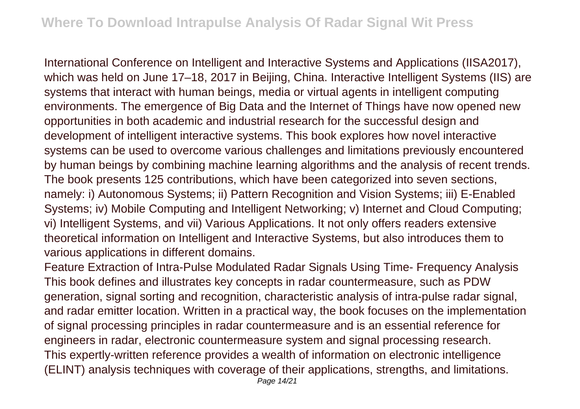International Conference on Intelligent and Interactive Systems and Applications (IISA2017), which was held on June 17–18, 2017 in Beijing, China, Interactive Intelligent Systems (IIS) are systems that interact with human beings, media or virtual agents in intelligent computing environments. The emergence of Big Data and the Internet of Things have now opened new opportunities in both academic and industrial research for the successful design and development of intelligent interactive systems. This book explores how novel interactive systems can be used to overcome various challenges and limitations previously encountered by human beings by combining machine learning algorithms and the analysis of recent trends. The book presents 125 contributions, which have been categorized into seven sections, namely: i) Autonomous Systems; ii) Pattern Recognition and Vision Systems; iii) E-Enabled Systems; iv) Mobile Computing and Intelligent Networking; v) Internet and Cloud Computing; vi) Intelligent Systems, and vii) Various Applications. It not only offers readers extensive theoretical information on Intelligent and Interactive Systems, but also introduces them to various applications in different domains.

Feature Extraction of Intra-Pulse Modulated Radar Signals Using Time- Frequency Analysis This book defines and illustrates key concepts in radar countermeasure, such as PDW generation, signal sorting and recognition, characteristic analysis of intra-pulse radar signal, and radar emitter location. Written in a practical way, the book focuses on the implementation of signal processing principles in radar countermeasure and is an essential reference for engineers in radar, electronic countermeasure system and signal processing research. This expertly-written reference provides a wealth of information on electronic intelligence (ELINT) analysis techniques with coverage of their applications, strengths, and limitations.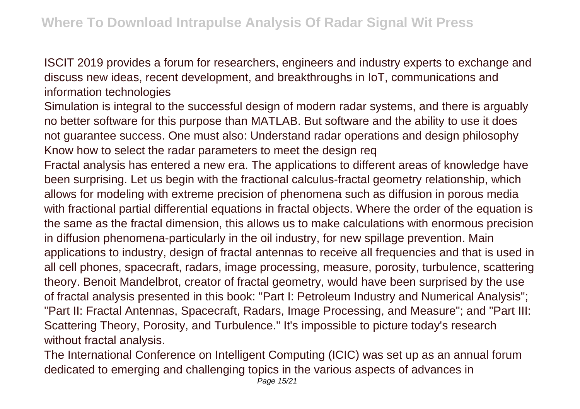ISCIT 2019 provides a forum for researchers, engineers and industry experts to exchange and discuss new ideas, recent development, and breakthroughs in IoT, communications and information technologies

Simulation is integral to the successful design of modern radar systems, and there is arguably no better software for this purpose than MATLAB. But software and the ability to use it does not guarantee success. One must also: Understand radar operations and design philosophy Know how to select the radar parameters to meet the design req

Fractal analysis has entered a new era. The applications to different areas of knowledge have been surprising. Let us begin with the fractional calculus-fractal geometry relationship, which allows for modeling with extreme precision of phenomena such as diffusion in porous media with fractional partial differential equations in fractal objects. Where the order of the equation is the same as the fractal dimension, this allows us to make calculations with enormous precision in diffusion phenomena-particularly in the oil industry, for new spillage prevention. Main applications to industry, design of fractal antennas to receive all frequencies and that is used in all cell phones, spacecraft, radars, image processing, measure, porosity, turbulence, scattering theory. Benoit Mandelbrot, creator of fractal geometry, would have been surprised by the use of fractal analysis presented in this book: "Part I: Petroleum Industry and Numerical Analysis"; "Part II: Fractal Antennas, Spacecraft, Radars, Image Processing, and Measure"; and "Part III: Scattering Theory, Porosity, and Turbulence." It's impossible to picture today's research without fractal analysis.

The International Conference on Intelligent Computing (ICIC) was set up as an annual forum dedicated to emerging and challenging topics in the various aspects of advances in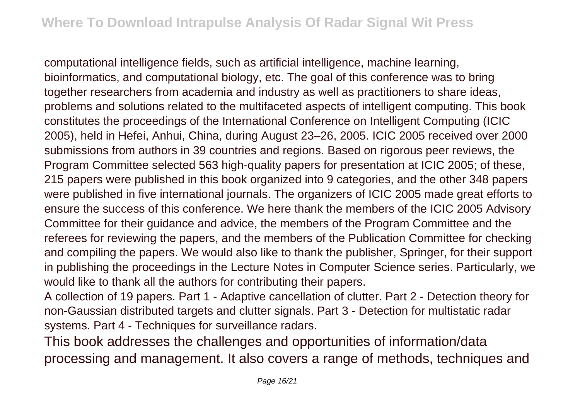computational intelligence fields, such as artificial intelligence, machine learning, bioinformatics, and computational biology, etc. The goal of this conference was to bring together researchers from academia and industry as well as practitioners to share ideas, problems and solutions related to the multifaceted aspects of intelligent computing. This book constitutes the proceedings of the International Conference on Intelligent Computing (ICIC 2005), held in Hefei, Anhui, China, during August 23–26, 2005. ICIC 2005 received over 2000 submissions from authors in 39 countries and regions. Based on rigorous peer reviews, the Program Committee selected 563 high-quality papers for presentation at ICIC 2005; of these, 215 papers were published in this book organized into 9 categories, and the other 348 papers were published in five international journals. The organizers of ICIC 2005 made great efforts to ensure the success of this conference. We here thank the members of the ICIC 2005 Advisory Committee for their guidance and advice, the members of the Program Committee and the referees for reviewing the papers, and the members of the Publication Committee for checking and compiling the papers. We would also like to thank the publisher, Springer, for their support in publishing the proceedings in the Lecture Notes in Computer Science series. Particularly, we would like to thank all the authors for contributing their papers.

A collection of 19 papers. Part 1 - Adaptive cancellation of clutter. Part 2 - Detection theory for non-Gaussian distributed targets and clutter signals. Part 3 - Detection for multistatic radar systems. Part 4 - Techniques for surveillance radars.

This book addresses the challenges and opportunities of information/data processing and management. It also covers a range of methods, techniques and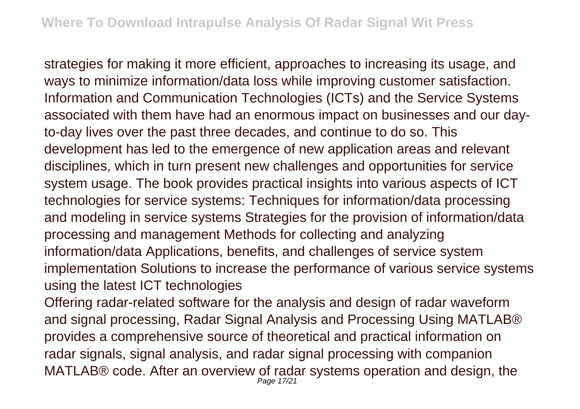strategies for making it more efficient, approaches to increasing its usage, and ways to minimize information/data loss while improving customer satisfaction. Information and Communication Technologies (ICTs) and the Service Systems associated with them have had an enormous impact on businesses and our dayto-day lives over the past three decades, and continue to do so. This development has led to the emergence of new application areas and relevant disciplines, which in turn present new challenges and opportunities for service system usage. The book provides practical insights into various aspects of ICT technologies for service systems: Techniques for information/data processing and modeling in service systems Strategies for the provision of information/data processing and management Methods for collecting and analyzing information/data Applications, benefits, and challenges of service system implementation Solutions to increase the performance of various service systems using the latest ICT technologies

Offering radar-related software for the analysis and design of radar waveform and signal processing, Radar Signal Analysis and Processing Using MATLAB® provides a comprehensive source of theoretical and practical information on radar signals, signal analysis, and radar signal processing with companion MATLAB® code. After an overview of radar systems operation and design, the Page 17/21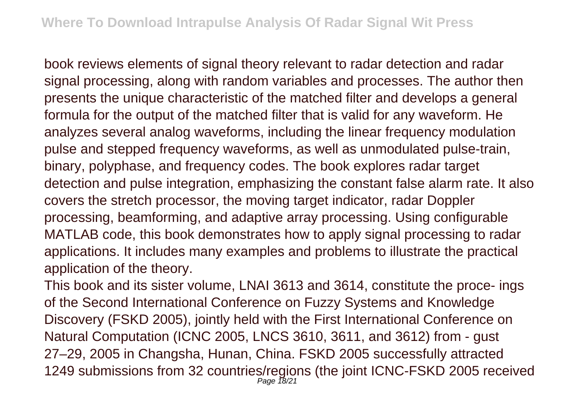book reviews elements of signal theory relevant to radar detection and radar signal processing, along with random variables and processes. The author then presents the unique characteristic of the matched filter and develops a general formula for the output of the matched filter that is valid for any waveform. He analyzes several analog waveforms, including the linear frequency modulation pulse and stepped frequency waveforms, as well as unmodulated pulse-train, binary, polyphase, and frequency codes. The book explores radar target detection and pulse integration, emphasizing the constant false alarm rate. It also covers the stretch processor, the moving target indicator, radar Doppler processing, beamforming, and adaptive array processing. Using configurable MATLAB code, this book demonstrates how to apply signal processing to radar applications. It includes many examples and problems to illustrate the practical application of the theory.

This book and its sister volume, LNAI 3613 and 3614, constitute the proce- ings of the Second International Conference on Fuzzy Systems and Knowledge Discovery (FSKD 2005), jointly held with the First International Conference on Natural Computation (ICNC 2005, LNCS 3610, 3611, and 3612) from - gust 27–29, 2005 in Changsha, Hunan, China. FSKD 2005 successfully attracted 1249 submissions from 32 countries/regions (the joint ICNC-FSKD 2005 received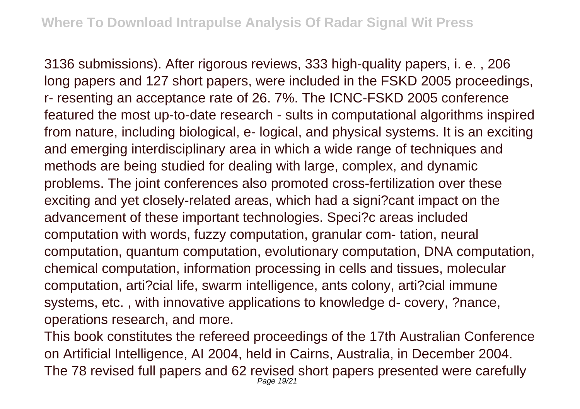3136 submissions). After rigorous reviews, 333 high-quality papers, i. e. , 206 long papers and 127 short papers, were included in the FSKD 2005 proceedings, r- resenting an acceptance rate of 26. 7%. The ICNC-FSKD 2005 conference featured the most up-to-date research - sults in computational algorithms inspired from nature, including biological, e- logical, and physical systems. It is an exciting and emerging interdisciplinary area in which a wide range of techniques and methods are being studied for dealing with large, complex, and dynamic problems. The joint conferences also promoted cross-fertilization over these exciting and yet closely-related areas, which had a signi?cant impact on the advancement of these important technologies. Speci?c areas included computation with words, fuzzy computation, granular com- tation, neural computation, quantum computation, evolutionary computation, DNA computation, chemical computation, information processing in cells and tissues, molecular computation, arti?cial life, swarm intelligence, ants colony, arti?cial immune systems, etc. , with innovative applications to knowledge d- covery, ?nance, operations research, and more.

This book constitutes the refereed proceedings of the 17th Australian Conference on Artificial Intelligence, AI 2004, held in Cairns, Australia, in December 2004. The 78 revised full papers and 62 revised short papers presented were carefully Page 19/21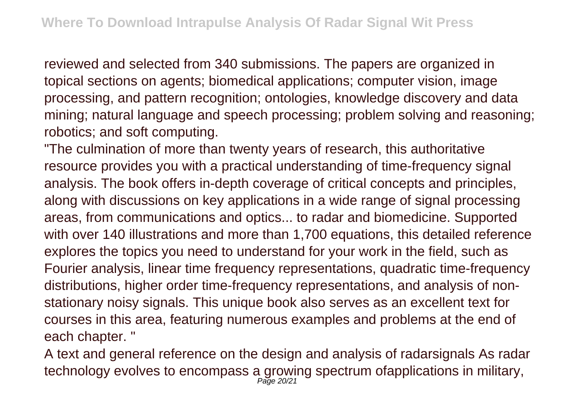reviewed and selected from 340 submissions. The papers are organized in topical sections on agents; biomedical applications; computer vision, image processing, and pattern recognition; ontologies, knowledge discovery and data mining; natural language and speech processing; problem solving and reasoning; robotics; and soft computing.

"The culmination of more than twenty years of research, this authoritative resource provides you with a practical understanding of time-frequency signal analysis. The book offers in-depth coverage of critical concepts and principles, along with discussions on key applications in a wide range of signal processing areas, from communications and optics... to radar and biomedicine. Supported with over 140 illustrations and more than 1,700 equations, this detailed reference explores the topics you need to understand for your work in the field, such as Fourier analysis, linear time frequency representations, quadratic time-frequency distributions, higher order time-frequency representations, and analysis of nonstationary noisy signals. This unique book also serves as an excellent text for courses in this area, featuring numerous examples and problems at the end of each chapter. "

A text and general reference on the design and analysis of radarsignals As radar technology evolves to encompass a growing spectrum ofapplications in military,